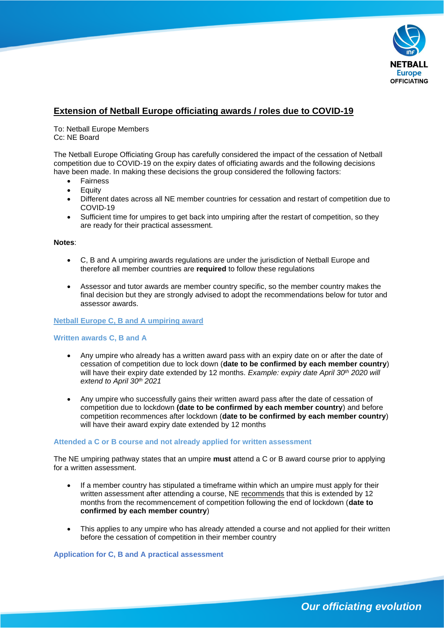

# **Extension of Netball Europe officiating awards / roles due to COVID-19**

To: Netball Europe Members Cc: NE Board

The Netball Europe Officiating Group has carefully considered the impact of the cessation of Netball competition due to COVID-19 on the expiry dates of officiating awards and the following decisions have been made. In making these decisions the group considered the following factors:

- **Fairness**
- **Equity**
- Different dates across all NE member countries for cessation and restart of competition due to COVID-19
- Sufficient time for umpires to get back into umpiring after the restart of competition, so they are ready for their practical assessment.

### **Notes**:

- C, B and A umpiring awards regulations are under the jurisdiction of Netball Europe and therefore all member countries are **required** to follow these regulations
- Assessor and tutor awards are member country specific, so the member country makes the final decision but they are strongly advised to adopt the recommendations below for tutor and assessor awards.

### **Netball Europe C, B and A umpiring award**

## **Written awards C, B and A**

- Any umpire who already has a written award pass with an expiry date on or after the date of cessation of competition due to lock down (**date to be confirmed by each member country**) will have their expiry date extended by 12 months. *Example: expiry date April 30th 2020 will extend to April 30th 2021*
- Any umpire who successfully gains their written award pass after the date of cessation of competition due to lockdown **(date to be confirmed by each member country**) and before competition recommences after lockdown (**date to be confirmed by each member country**) will have their award expiry date extended by 12 months

### **Attended a C or B course and not already applied for written assessment**

The NE umpiring pathway states that an umpire **must** attend a C or B award course prior to applying for a written assessment.

- If a member country has stipulated a timeframe within which an umpire must apply for their written assessment after attending a course, NE recommends that this is extended by 12 months from the recommencement of competition following the end of lockdown (**date to confirmed by each member country**)
- This applies to any umpire who has already attended a course and not applied for their written before the cessation of competition in their member country

**Application for C, B and A practical assessment**